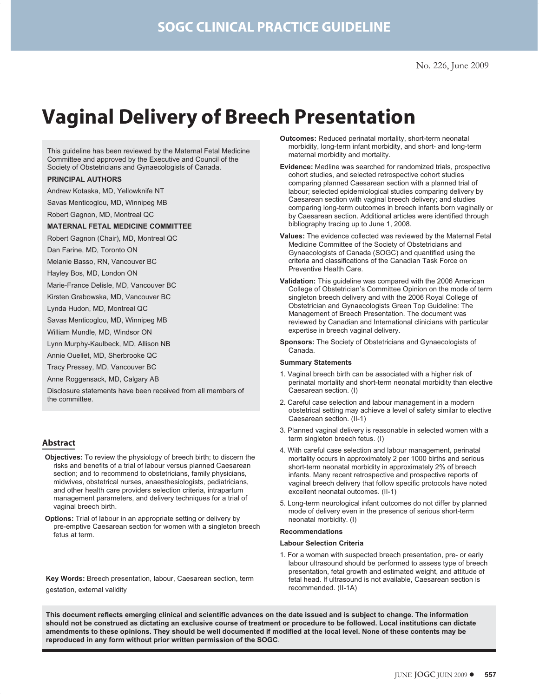# **Vaginal Delivery of Breech Presentation**

This guideline has been reviewed by the Maternal Fetal Medicine Committee and approved by the Executive and Council of the Society of Obstetricians and Gynaecologists of Canada.

#### **PRINCIPAL AUTHORS**

Andrew Kotaska, MD, Yellowknife NT

Savas Menticoglou, MD, Winnipeg MB

Robert Gagnon, MD, Montreal QC

#### **MATERNAL FETAL MEDICINE COMMITTEE**

Robert Gagnon (Chair), MD, Montreal QC

Dan Farine, MD, Toronto ON

Melanie Basso, RN, Vancouver BC

Hayley Bos, MD, London ON

Marie-France Delisle, MD, Vancouver BC

Kirsten Grabowska, MD, Vancouver BC

Lynda Hudon, MD, Montreal QC

Savas Menticoglou, MD, Winnipeg MB

William Mundle, MD, Windsor ON

Lynn Murphy-Kaulbeck, MD, Allison NB

Annie Ouellet, MD, Sherbrooke QC

Tracy Pressey, MD, Vancouver BC

Anne Roggensack, MD, Calgary AB

Disclosure statements have been received from all members of the committee.

#### **Abstract**

- **Objectives:** To review the physiology of breech birth; to discern the risks and benefits of a trial of labour versus planned Caesarean section; and to recommend to obstetricians, family physicians, midwives, obstetrical nurses, anaesthesiologists, pediatricians, and other health care providers selection criteria, intrapartum management parameters, and delivery techniques for a trial of vaginal breech birth.
- **Options:** Trial of labour in an appropriate setting or delivery by pre-emptive Caesarean section for women with a singleton breech fetus at term.

**Key Words:** Breech presentation, labour, Caesarean section, term gestation, external validity

**Outcomes:** Reduced perinatal mortality, short-term neonatal morbidity, long-term infant morbidity, and short- and long-term maternal morbidity and mortality.

- **Evidence:** Medline was searched for randomized trials, prospective cohort studies, and selected retrospective cohort studies comparing planned Caesarean section with a planned trial of labour; selected epidemiological studies comparing delivery by Caesarean section with vaginal breech delivery; and studies comparing long-term outcomes in breech infants born vaginally or by Caesarean section. Additional articles were identified through bibliography tracing up to June 1, 2008.
- **Values:** The evidence collected was reviewed by the Maternal Fetal Medicine Committee of the Society of Obstetricians and Gynaecologists of Canada (SOGC) and quantified using the criteria and classifications of the Canadian Task Force on Preventive Health Care.
- **Validation:** This guideline was compared with the 2006 American College of Obstetrician's Committee Opinion on the mode of term singleton breech delivery and with the 2006 Royal College of Obstetrician and Gynaecologists Green Top Guideline: The Management of Breech Presentation. The document was reviewed by Canadian and International clinicians with particular expertise in breech vaginal delivery.
- **Sponsors:** The Society of Obstetricians and Gynaecologists of Canada.

#### **Summary Statements**

- 1. Vaginal breech birth can be associated with a higher risk of perinatal mortality and short-term neonatal morbidity than elective Caesarean section. (I)
- 2. Careful case selection and labour management in a modern obstetrical setting may achieve a level of safety similar to elective Caesarean section. (II-1)
- 3. Planned vaginal delivery is reasonable in selected women with a term singleton breech fetus. (I)
- 4. With careful case selection and labour management, perinatal mortality occurs in approximately 2 per 1000 births and serious short-term neonatal morbidity in approximately 2% of breech infants. Many recent retrospective and prospective reports of vaginal breech delivery that follow specific protocols have noted excellent neonatal outcomes. (II-1)
- 5. Long-term neurological infant outcomes do not differ by planned mode of delivery even in the presence of serious short-term neonatal morbidity. (I)

#### **Recommendations**

#### **Labour Selection Criteria**

1. For a woman with suspected breech presentation, pre- or early labour ultrasound should be performed to assess type of breech presentation, fetal growth and estimated weight, and attitude of fetal head. If ultrasound is not available, Caesarean section is recommended. (II-1A)

**This document reflects emerging clinical and scientific advances on the date issued and is subject to change. The information should not be construed as dictating an exclusive course of treatment or procedure to be followed. Local institutions can dictate amendments to these opinions. They should be well documented if modified at the local level. None of these contents may be reproduced in any form without prior written permission of the SOGC**.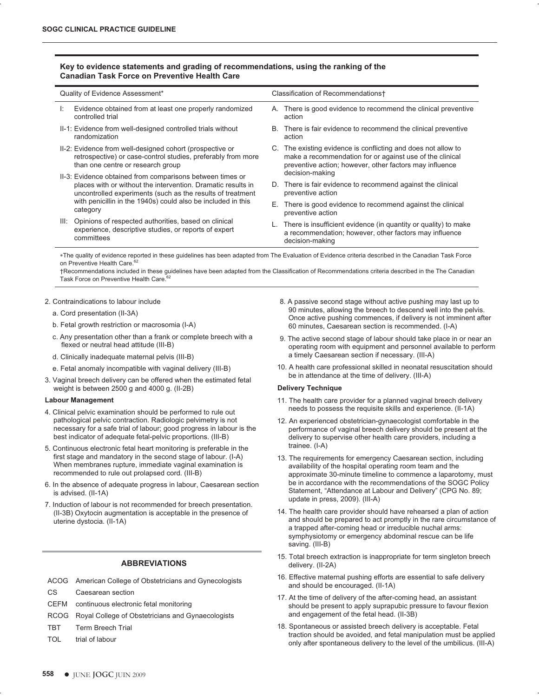## **Key to evidence statements and grading of recommendations, using the ranking of the Canadian Task Force on Preventive Health Care**

| Quality of Evidence Assessment*                                                                                                                                                                                                                         | Classification of Recommendations+                                                                                                                |
|---------------------------------------------------------------------------------------------------------------------------------------------------------------------------------------------------------------------------------------------------------|---------------------------------------------------------------------------------------------------------------------------------------------------|
| Evidence obtained from at least one properly randomized<br>Ŀ.<br>controlled trial                                                                                                                                                                       | A. There is good evidence to recommend the clinical preventive<br>action                                                                          |
| II-1: Evidence from well-designed controlled trials without                                                                                                                                                                                             | B. There is fair evidence to recommend the clinical preventive                                                                                    |
| randomization                                                                                                                                                                                                                                           | action                                                                                                                                            |
| II-2: Evidence from well-designed cohort (prospective or                                                                                                                                                                                                | C. The existing evidence is conflicting and does not allow to                                                                                     |
| retrospective) or case-control studies, preferably from more                                                                                                                                                                                            | make a recommendation for or against use of the clinical                                                                                          |
| than one centre or research group                                                                                                                                                                                                                       | preventive action; however, other factors may influence                                                                                           |
| II-3: Evidence obtained from comparisons between times or                                                                                                                                                                                               | decision-making                                                                                                                                   |
| places with or without the intervention. Dramatic results in                                                                                                                                                                                            | D. There is fair evidence to recommend against the clinical                                                                                       |
| uncontrolled experiments (such as the results of treatment                                                                                                                                                                                              | preventive action                                                                                                                                 |
| with penicillin in the 1940s) could also be included in this                                                                                                                                                                                            | E. There is good evidence to recommend against the clinical                                                                                       |
| category                                                                                                                                                                                                                                                | preventive action                                                                                                                                 |
| Opinions of respected authorities, based on clinical<br>III:<br>experience, descriptive studies, or reports of expert<br>committees                                                                                                                     | There is insufficient evidence (in quantity or quality) to make<br>a recommendation; however, other factors may influence<br>decision-making      |
| *The quality of evidence reported in these guidelines has been adapted from The Evaluation of Evidence criteria described in the Canadian Task Force<br>on Preventive Health Care. <sup>62</sup><br>Task Force on Preventive Health Care. <sup>62</sup> | †Recommendations included in these guidelines have been adapted from the Classification of Recommendations criteria described in the The Canadian |

- 2. Contraindications to labour include
	- a. Cord presentation (II-3A)
	- b. Fetal growth restriction or macrosomia (I-A)
	- c. Any presentation other than a frank or complete breech with a flexed or neutral head attitude (III-B)
	- d. Clinically inadequate maternal pelvis (III-B)
	- e. Fetal anomaly incompatible with vaginal delivery (III-B)
- 3. Vaginal breech delivery can be offered when the estimated fetal weight is between 2500 g and 4000 g. (II-2B)

#### **Labour Management**

- 4. Clinical pelvic examination should be performed to rule out pathological pelvic contraction. Radiologic pelvimetry is not necessary for a safe trial of labour; good progress in labour is the best indicator of adequate fetal-pelvic proportions. (III-B)
- 5. Continuous electronic fetal heart monitoring is preferable in the first stage and mandatory in the second stage of labour. (I-A) When membranes rupture, immediate vaginal examination is recommended to rule out prolapsed cord. (III-B)
- 6. In the absence of adequate progress in labour, Caesarean section is advised. (II-1A)
- 7. Induction of labour is not recommended for breech presentation. (II-3B) Oxytocin augmentation is acceptable in the presence of uterine dystocia. (II-1A)

#### **ABBREVIATIONS**

ACOG American College of Obstetricians and Gynecologists

- CS Caesarean section
- CEFM continuous electronic fetal monitoring
- RCOG Royal College of Obstetricians and Gynaecologists
- TBT Term Breech Trial
- TOL trial of labour
- 8. A passive second stage without active pushing may last up to 90 minutes, allowing the breech to descend well into the pelvis. Once active pushing commences, if delivery is not imminent after 60 minutes, Caesarean section is recommended. (I-A)
- 9. The active second stage of labour should take place in or near an operating room with equipment and personnel available to perform a timely Caesarean section if necessary. (III-A)
- 10. A health care professional skilled in neonatal resuscitation should be in attendance at the time of delivery. (III-A)

#### **Delivery Technique**

- 11. The health care provider for a planned vaginal breech delivery needs to possess the requisite skills and experience. (II-1A)
- 12. An experienced obstetrician-gynaecologist comfortable in the performance of vaginal breech delivery should be present at the delivery to supervise other health care providers, including a trainee. (I-A)
- 13. The requirements for emergency Caesarean section, including availability of the hospital operating room team and the approximate 30-minute timeline to commence a laparotomy, must be in accordance with the recommendations of the SOGC Policy Statement, "Attendance at Labour and Delivery" (CPG No. 89; update in press, 2009). (III-A)
- 14. The health care provider should have rehearsed a plan of action and should be prepared to act promptly in the rare circumstance of a trapped after-coming head or irreducible nuchal arms: symphysiotomy or emergency abdominal rescue can be life saving. (III-B)
- 15. Total breech extraction is inappropriate for term singleton breech delivery. (II-2A)
- 16. Effective maternal pushing efforts are essential to safe delivery and should be encouraged. (II-1A)
- 17. At the time of delivery of the after-coming head, an assistant should be present to apply suprapubic pressure to favour flexion and engagement of the fetal head. (II-3B)
- 18. Spontaneous or assisted breech delivery is acceptable. Fetal traction should be avoided, and fetal manipulation must be applied only after spontaneous delivery to the level of the umbilicus. (III-A)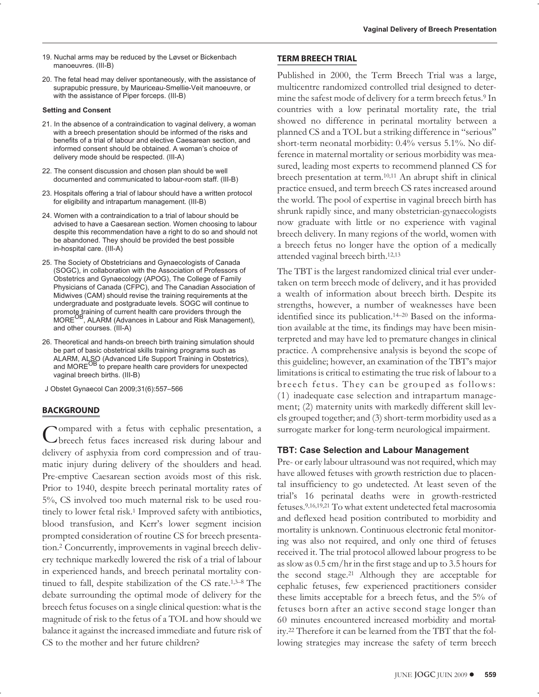- 19. Nuchal arms may be reduced by the Løvset or Bickenbach manoeuvres. (III-B)
- 20. The fetal head may deliver spontaneously, with the assistance of suprapubic pressure, by Mauriceau-Smellie-Veit manoeuvre, or with the assistance of Piper forceps. (III-B)

#### **Setting and Consent**

- 21. In the absence of a contraindication to vaginal delivery, a woman with a breech presentation should be informed of the risks and benefits of a trial of labour and elective Caesarean section, and informed consent should be obtained. A woman's choice of delivery mode should be respected. (III-A)
- 22. The consent discussion and chosen plan should be well documented and communicated to labour-room staff. (III-B)
- 23. Hospitals offering a trial of labour should have a written protocol for eligibility and intrapartum management. (III-B)
- 24. Women with a contraindication to a trial of labour should be advised to have a Caesarean section. Women choosing to labour despite this recommendation have a right to do so and should not be abandoned. They should be provided the best possible in-hospital care. (III-A)
- 25. The Society of Obstetricians and Gynaecologists of Canada (SOGC), in collaboration with the Association of Professors of Obstetrics and Gynaecology (APOG), The College of Family Physicians of Canada (CFPC), and The Canadian Association of Midwives (CAM) should revise the training requirements at the undergraduate and postgraduate levels. SOGC will continue to promote training of current health care providers through the<br>MORE<sup>OB</sup>, ALARM (Advances in Labour and Risk Management), and other courses. (III-A)
- 26. Theoretical and hands-on breech birth training simulation should be part of basic obstetrical skills training programs such as ALARM, ALSO (Advanced Life Support Training in Obstetrics),<br>and MORE<sup>OB</sup> to prepare health care providers for unexpected vaginal breech births. (III-B)

J Obstet Gynaecol Can 2009;31(6):557–566

## **BACKGROUND**

Compared with a fetus with cephalic presentation, a breech fetus faces increased risk during labour and delivery of asphyxia from cord compression and of traumatic injury during delivery of the shoulders and head. Pre-emptive Caesarean section avoids most of this risk. Prior to 1940, despite breech perinatal mortality rates of 5%, CS involved too much maternal risk to be used routinely to lower fetal risk.<sup>1</sup> Improved safety with antibiotics, blood transfusion, and Kerr's lower segment incision prompted consideration of routine CS for breech presentation.2 Concurrently, improvements in vaginal breech delivery technique markedly lowered the risk of a trial of labour in experienced hands, and breech perinatal mortality continued to fall, despite stabilization of the CS rate.1,3–8 The debate surrounding the optimal mode of delivery for the breech fetus focuses on a single clinical question: what is the magnitude of risk to the fetus of a TOL and how should we balance it against the increased immediate and future risk of CS to the mother and her future children?

## **TERM BREECH TRIAL**

Published in 2000, the Term Breech Trial was a large, multicentre randomized controlled trial designed to determine the safest mode of delivery for a term breech fetus.<sup>9</sup> In countries with a low perinatal mortality rate, the trial showed no difference in perinatal mortality between a planned CS and a TOL but a striking difference in "serious" short-term neonatal morbidity: 0.4% versus 5.1%. No difference in maternal mortality or serious morbidity was measured, leading most experts to recommend planned CS for breech presentation at term.10,11 An abrupt shift in clinical practice ensued, and term breech CS rates increased around the world. The pool of expertise in vaginal breech birth has shrunk rapidly since, and many obstetrician-gynaecologists now graduate with little or no experience with vaginal breech delivery. In many regions of the world, women with a breech fetus no longer have the option of a medically attended vaginal breech birth.12,13

The TBT is the largest randomized clinical trial ever undertaken on term breech mode of delivery, and it has provided a wealth of information about breech birth. Despite its strengths, however, a number of weaknesses have been identified since its publication.14–20 Based on the information available at the time, its findings may have been misinterpreted and may have led to premature changes in clinical practice. A comprehensive analysis is beyond the scope of this guideline; however, an examination of the TBT's major limitations is critical to estimating the true risk of labour to a breech fetus. They can be grouped as follows: (1) inadequate case selection and intrapartum management; (2) maternity units with markedly different skill levels grouped together; and (3) short-term morbidity used as a surrogate marker for long-term neurological impairment.

#### **TBT: Case Selection and Labour Management**

Pre- or early labour ultrasound was not required, which may have allowed fetuses with growth restriction due to placental insufficiency to go undetected. At least seven of the trial's 16 perinatal deaths were in growth-restricted fetuses.9,16,19,21 To what extent undetected fetal macrosomia and deflexed head position contributed to morbidity and mortality is unknown. Continuous electronic fetal monitoring was also not required, and only one third of fetuses received it. The trial protocol allowed labour progress to be as slow as 0.5 cm/hr in the first stage and up to 3.5 hours for the second stage.21 Although they are acceptable for cephalic fetuses, few experienced practitioners consider these limits acceptable for a breech fetus, and the 5% of fetuses born after an active second stage longer than 60 minutes encountered increased morbidity and mortality.22 Therefore it can be learned from the TBT that the following strategies may increase the safety of term breech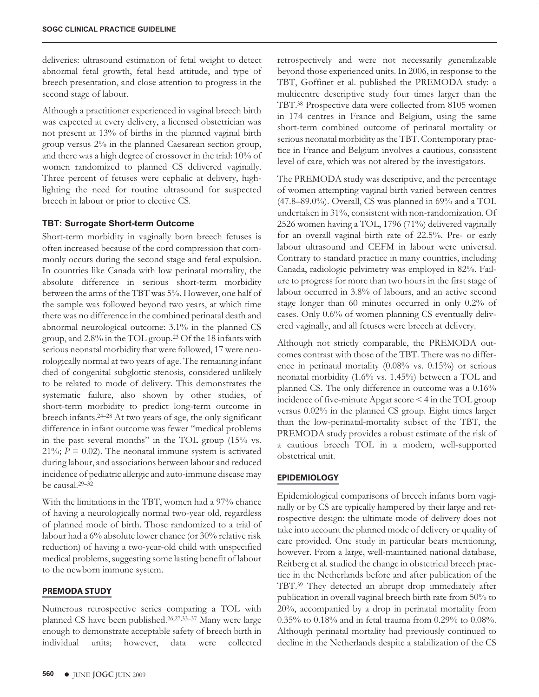deliveries: ultrasound estimation of fetal weight to detect abnormal fetal growth, fetal head attitude, and type of breech presentation, and close attention to progress in the second stage of labour.

Although a practitioner experienced in vaginal breech birth was expected at every delivery, a licensed obstetrician was not present at 13% of births in the planned vaginal birth group versus 2% in the planned Caesarean section group, and there was a high degree of crossover in the trial: 10% of women randomized to planned CS delivered vaginally. Three percent of fetuses were cephalic at delivery, highlighting the need for routine ultrasound for suspected breech in labour or prior to elective CS.

## **TBT: Surrogate Short-term Outcome**

Short-term morbidity in vaginally born breech fetuses is often increased because of the cord compression that commonly occurs during the second stage and fetal expulsion. In countries like Canada with low perinatal mortality, the absolute difference in serious short-term morbidity between the arms of the TBT was 5%. However, one half of the sample was followed beyond two years, at which time there was no difference in the combined perinatal death and abnormal neurological outcome: 3.1% in the planned CS group, and 2.8% in the TOL group.23 Of the 18 infants with serious neonatal morbidity that were followed, 17 were neurologically normal at two years of age. The remaining infant died of congenital subglottic stenosis, considered unlikely to be related to mode of delivery. This demonstrates the systematic failure, also shown by other studies, of short-term morbidity to predict long-term outcome in breech infants.24–28 At two years of age, the only significant difference in infant outcome was fewer "medical problems in the past several months" in the TOL group (15% vs. 21%;  $P = 0.02$ ). The neonatal immune system is activated during labour, and associations between labour and reduced incidence of pediatric allergic and auto-immune disease may be causal.29–32

With the limitations in the TBT, women had a 97% chance of having a neurologically normal two-year old, regardless of planned mode of birth. Those randomized to a trial of labour had a 6% absolute lower chance (or 30% relative risk reduction) of having a two-year-old child with unspecified medical problems, suggesting some lasting benefit of labour to the newborn immune system.

## **PREMODA STUDY**

Numerous retrospective series comparing a TOL with planned CS have been published.26,27,33–37 Many were large enough to demonstrate acceptable safety of breech birth in individual units; however, data were collected retrospectively and were not necessarily generalizable beyond those experienced units. In 2006, in response to the TBT, Goffinet et al. published the PREMODA study: a multicentre descriptive study four times larger than the TBT.38 Prospective data were collected from 8105 women in 174 centres in France and Belgium, using the same short-term combined outcome of perinatal mortality or serious neonatal morbidity as the TBT. Contemporary practice in France and Belgium involves a cautious, consistent level of care, which was not altered by the investigators.

The PREMODA study was descriptive, and the percentage of women attempting vaginal birth varied between centres (47.8–89.0%). Overall, CS was planned in 69% and a TOL undertaken in 31%, consistent with non-randomization. Of 2526 women having a TOL, 1796 (71%) delivered vaginally for an overall vaginal birth rate of 22.5%. Pre- or early labour ultrasound and CEFM in labour were universal. Contrary to standard practice in many countries, including Canada, radiologic pelvimetry was employed in 82%. Failure to progress for more than two hours in the first stage of labour occurred in 3.8% of labours, and an active second stage longer than 60 minutes occurred in only 0.2% of cases. Only 0.6% of women planning CS eventually delivered vaginally, and all fetuses were breech at delivery.

Although not strictly comparable, the PREMODA outcomes contrast with those of the TBT. There was no difference in perinatal mortality (0.08% vs. 0.15%) or serious neonatal morbidity (1.6% vs. 1.45%) between a TOL and planned CS. The only difference in outcome was a 0.16% incidence of five-minute Apgar score < 4 in the TOL group versus 0.02% in the planned CS group. Eight times larger than the low-perinatal-mortality subset of the TBT, the PREMODA study provides a robust estimate of the risk of a cautious breech TOL in a modern, well-supported obstetrical unit.

#### **EPIDEMIOLOGY**

Epidemiological comparisons of breech infants born vaginally or by CS are typically hampered by their large and retrospective design: the ultimate mode of delivery does not take into account the planned mode of delivery or quality of care provided. One study in particular bears mentioning, however. From a large, well-maintained national database, Reitberg et al. studied the change in obstetrical breech practice in the Netherlands before and after publication of the TBT.39 They detected an abrupt drop immediately after publication in overall vaginal breech birth rate from 50% to 20%, accompanied by a drop in perinatal mortality from 0.35% to 0.18% and in fetal trauma from 0.29% to 0.08%. Although perinatal mortality had previously continued to decline in the Netherlands despite a stabilization of the CS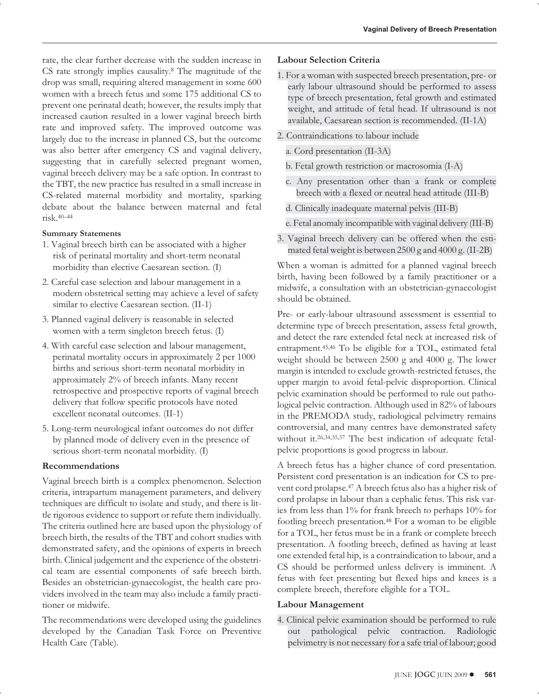rate, the clear further decrease with the sudden increase in CS rate strongly implies causality.8 The magnitude of the drop was small, requiring altered management in some 600 women with a breech fetus and some 175 additional CS to prevent one perinatal death; however, the results imply that increased caution resulted in a lower vaginal breech birth rate and improved safety. The improved outcome was largely due to the increase in planned CS, but the outcome was also better after emergency CS and vaginal delivery, suggesting that in carefully selected pregnant women, vaginal breech delivery may be a safe option. In contrast to the TBT, the new practice has resulted in a small increase in CS-related maternal morbidity and mortality, sparking debate about the balance between maternal and fetal risk.40–44

# **Summary Statements**

- 1. Vaginal breech birth can be associated with a higher risk of perinatal mortality and short-term neonatal morbidity than elective Caesarean section. (I)
- 2. Careful case selection and labour management in a modern obstetrical setting may achieve a level of safety similar to elective Caesarean section. (II-1)
- 3. Planned vaginal delivery is reasonable in selected women with a term singleton breech fetus. (I)
- 4. With careful case selection and labour management, perinatal mortality occurs in approximately 2 per 1000 births and serious short-term neonatal morbidity in approximately 2% of breech infants. Many recent retrospective and prospective reports of vaginal breech delivery that follow specific protocols have noted excellent neonatal outcomes. (II-1)
- 5. Long-term neurological infant outcomes do not differ by planned mode of delivery even in the presence of serious short-term neonatal morbidity. (I)

# **Recommendations**

Vaginal breech birth is a complex phenomenon. Selection criteria, intrapartum management parameters, and delivery techniques are difficult to isolate and study, and there is little rigorous evidence to support or refute them individually. The criteria outlined here are based upon the physiology of breech birth, the results of the TBT and cohort studies with demonstrated safety, and the opinions of experts in breech birth. Clinical judgement and the experience of the obstetrical team are essential components of safe breech birth. Besides an obstetrician-gynaecologist, the health care providers involved in the team may also include a family practitioner or midwife.

The recommendations were developed using the guidelines developed by the Canadian Task Force on Preventive Health Care (Table).

# **Labour Selection Criteria**

- 1. For a woman with suspected breech presentation, pre- or early labour ultrasound should be performed to assess type of breech presentation, fetal growth and estimated weight, and attitude of fetal head. If ultrasound is not available, Caesarean section is recommended. (II-1A)
- 2. Contraindications to labour include
	- a. Cord presentation (II-3A)
	- b. Fetal growth restriction or macrosomia (I-A)
	- c. Any presentation other than a frank or complete breech with a flexed or neutral head attitude (III-B)
	- d. Clinically inadequate maternal pelvis (III-B)
	- e. Fetal anomaly incompatible with vaginal delivery (III-B)
- 3. Vaginal breech delivery can be offered when the estimated fetal weight is between 2500 g and 4000 g. (II-2B)

When a woman is admitted for a planned vaginal breech birth, having been followed by a family practitioner or a midwife, a consultation with an obstetrician-gynaecologist should be obtained.

Pre- or early-labour ultrasound assessment is essential to determine type of breech presentation, assess fetal growth, and detect the rare extended fetal neck at increased risk of entrapment.45,46 To be eligible for a TOL, estimated fetal weight should be between 2500 g and 4000 g. The lower margin is intended to exclude growth-restricted fetuses, the upper margin to avoid fetal-pelvic disproportion. Clinical pelvic examination should be performed to rule out pathological pelvic contraction. Although used in 82% of labours in the PREMODA study, radiological pelvimetry remains controversial, and many centres have demonstrated safety without it.26,34,35,37 The best indication of adequate fetalpelvic proportions is good progress in labour.

A breech fetus has a higher chance of cord presentation. Persistent cord presentation is an indication for CS to prevent cord prolapse.47 A breech fetus also has a higher risk of cord prolapse in labour than a cephalic fetus. This risk varies from less than 1% for frank breech to perhaps 10% for footling breech presentation.48 For a woman to be eligible for a TOL, her fetus must be in a frank or complete breech presentation. A footling breech, defined as having at least one extended fetal hip, is a contraindication to labour, and a CS should be performed unless delivery is imminent. A fetus with feet presenting but flexed hips and knees is a complete breech, therefore eligible for a TOL.

## **Labour Management**

4. Clinical pelvic examination should be performed to rule out pathological pelvic contraction. Radiologic pelvimetry is not necessary for a safe trial of labour; good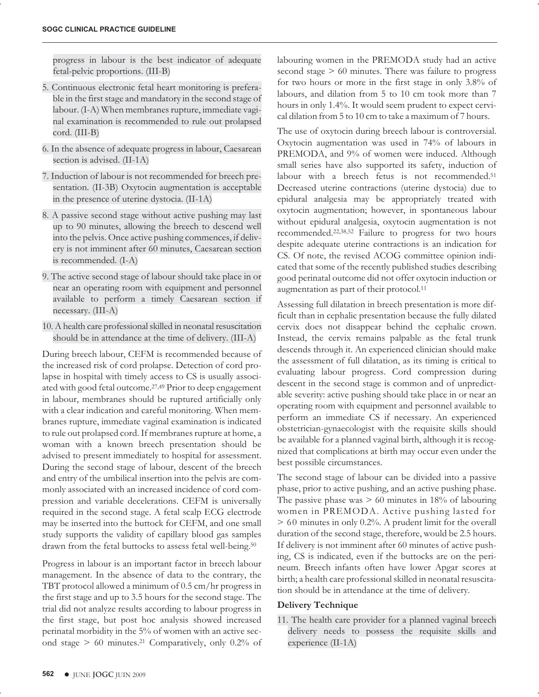progress in labour is the best indicator of adequate fetal-pelvic proportions. (III-B)

- 5. Continuous electronic fetal heart monitoring is preferable in the first stage and mandatory in the second stage of labour. (I-A) When membranes rupture, immediate vaginal examination is recommended to rule out prolapsed cord. (III-B)
- 6. In the absence of adequate progress in labour, Caesarean section is advised. (II-1A)
- 7. Induction of labour is not recommended for breech presentation. (II-3B) Oxytocin augmentation is acceptable in the presence of uterine dystocia. (II-1A)
- 8. A passive second stage without active pushing may last up to 90 minutes, allowing the breech to descend well into the pelvis. Once active pushing commences, if delivery is not imminent after 60 minutes, Caesarean section is recommended. (I-A)
- 9. The active second stage of labour should take place in or near an operating room with equipment and personnel available to perform a timely Caesarean section if necessary. (III-A)
- 10. A health care professional skilled in neonatal resuscitation should be in attendance at the time of delivery. (III-A)

During breech labour, CEFM is recommended because of the increased risk of cord prolapse. Detection of cord prolapse in hospital with timely access to CS is usually associated with good fetal outcome.27,49 Prior to deep engagement in labour, membranes should be ruptured artificially only with a clear indication and careful monitoring. When membranes rupture, immediate vaginal examination is indicated to rule out prolapsed cord. If membranes rupture at home, a woman with a known breech presentation should be advised to present immediately to hospital for assessment. During the second stage of labour, descent of the breech and entry of the umbilical insertion into the pelvis are commonly associated with an increased incidence of cord compression and variable decelerations. CEFM is universally required in the second stage. A fetal scalp ECG electrode may be inserted into the buttock for CEFM, and one small study supports the validity of capillary blood gas samples drawn from the fetal buttocks to assess fetal well-being.<sup>50</sup>

Progress in labour is an important factor in breech labour management. In the absence of data to the contrary, the TBT protocol allowed a minimum of 0.5 cm/hr progress in the first stage and up to 3.5 hours for the second stage. The trial did not analyze results according to labour progress in the first stage, but post hoc analysis showed increased perinatal morbidity in the 5% of women with an active second stage  $> 60$  minutes.<sup>21</sup> Comparatively, only 0.2% of

labouring women in the PREMODA study had an active second stage > 60 minutes. There was failure to progress for two hours or more in the first stage in only 3.8% of labours, and dilation from 5 to 10 cm took more than 7 hours in only 1.4%. It would seem prudent to expect cervical dilation from 5 to 10 cm to take a maximum of 7 hours.

The use of oxytocin during breech labour is controversial. Oxytocin augmentation was used in 74% of labours in PREMODA, and 9% of women were induced. Although small series have also supported its safety, induction of labour with a breech fetus is not recommended.<sup>51</sup> Decreased uterine contractions (uterine dystocia) due to epidural analgesia may be appropriately treated with oxytocin augmentation; however, in spontaneous labour without epidural analgesia, oxytocin augmentation is not recommended.22,38,52 Failure to progress for two hours despite adequate uterine contractions is an indication for CS. Of note, the revised ACOG committee opinion indicated that some of the recently published studies describing good perinatal outcome did not offer oxytocin induction or augmentation as part of their protocol.<sup>11</sup>

Assessing full dilatation in breech presentation is more difficult than in cephalic presentation because the fully dilated cervix does not disappear behind the cephalic crown. Instead, the cervix remains palpable as the fetal trunk descends through it. An experienced clinician should make the assessment of full dilatation, as its timing is critical to evaluating labour progress. Cord compression during descent in the second stage is common and of unpredictable severity: active pushing should take place in or near an operating room with equipment and personnel available to perform an immediate CS if necessary. An experienced obstetrician-gynaecologist with the requisite skills should be available for a planned vaginal birth, although it is recognized that complications at birth may occur even under the best possible circumstances.

The second stage of labour can be divided into a passive phase, prior to active pushing, and an active pushing phase. The passive phase was  $> 60$  minutes in 18% of labouring women in PREMODA. Active pushing lasted for > 60 minutes in only 0.2%. A prudent limit for the overall duration of the second stage, therefore, would be 2.5 hours. If delivery is not imminent after 60 minutes of active pushing, CS is indicated, even if the buttocks are on the perineum. Breech infants often have lower Apgar scores at birth; a health care professional skilled in neonatal resuscitation should be in attendance at the time of delivery.

# **Delivery Technique**

11. The health care provider for a planned vaginal breech delivery needs to possess the requisite skills and experience (II-1A)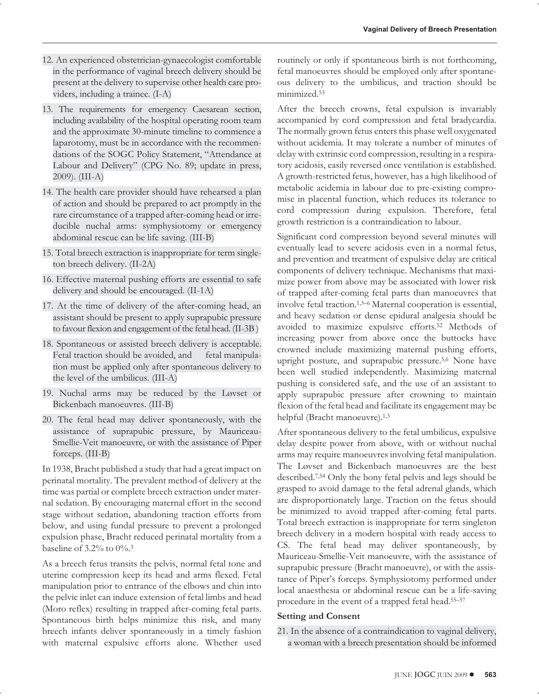- 12. An experienced obstetrician-gynaecologist comfortable in the performance of vaginal breech delivery should be present at the delivery to supervise other health care providers, including a trainee. (I-A)
- 13. The requirements for emergency Caesarean section, including availability of the hospital operating room team and the approximate 30-minute timeline to commence a laparotomy, must be in accordance with the recommendations of the SOGC Policy Statement, "Attendance at Labour and Delivery" (CPG No. 89; update in press, 2009). (III-A)
- 14. The health care provider should have rehearsed a plan of action and should be prepared to act promptly in the rare circumstance of a trapped after-coming head or irreducible nuchal arms: symphysiotomy or emergency abdominal rescue can be life saving. (III-B)
- 15. Total breech extraction is inappropriate for term singleton breech delivery. (II-2A)
- 16. Effective maternal pushing efforts are essential to safe delivery and should be encouraged. (II-1A)
- 17. At the time of delivery of the after-coming head, an assistant should be present to apply suprapubic pressure to favour flexion and engagement of the fetal head. (II-3B )
- 18. Spontaneous or assisted breech delivery is acceptable. Fetal traction should be avoided, and fetal manipulation must be applied only after spontaneous delivery to the level of the umbilicus. (III-A)
- 19. Nuchal arms may be reduced by the Løvset or Bickenbach manoeuvres. (III-B)
- 20. The fetal head may deliver spontaneously, with the assistance of suprapubic pressure, by Mauriceau-Smellie-Veit manoeuvre, or with the assistance of Piper forceps. (III-B)

In 1938, Bracht published a study that had a great impact on perinatal mortality. The prevalent method of delivery at the time was partial or complete breech extraction under maternal sedation. By encouraging maternal effort in the second stage without sedation, abandoning traction efforts from below, and using fundal pressure to prevent a prolonged expulsion phase, Bracht reduced perinatal mortality from a baseline of  $3.2\%$  to  $0\%$ .<sup>3</sup>

As a breech fetus transits the pelvis, normal fetal tone and uterine compression keep its head and arms flexed. Fetal manipulation prior to entrance of the elbows and chin into the pelvic inlet can induce extension of fetal limbs and head (Moro reflex) resulting in trapped after-coming fetal parts. Spontaneous birth helps minimize this risk, and many breech infants deliver spontaneously in a timely fashion with maternal expulsive efforts alone. Whether used

routinely or only if spontaneous birth is not forthcoming, fetal manoeuvres should be employed only after spontaneous delivery to the umbilicus, and traction should be minimized.53

After the breech crowns, fetal expulsion is invariably accompanied by cord compression and fetal bradycardia. The normally grown fetus enters this phase well oxygenated without acidemia. It may tolerate a number of minutes of delay with extrinsic cord compression, resulting in a respiratory acidosis, easily reversed once ventilation is established. A growth-restricted fetus, however, has a high likelihood of metabolic acidemia in labour due to pre-existing compromise in placental function, which reduces its tolerance to cord compression during expulsion. Therefore, fetal growth restriction is a contraindication to labour.

Significant cord compression beyond several minutes will eventually lead to severe acidosis even in a normal fetus, and prevention and treatment of expulsive delay are critical components of delivery technique. Mechanisms that maximize power from above may be associated with lower risk of trapped after-coming fetal parts than manoeuvres that involve fetal traction.1,3–6 Maternal cooperation is essential, and heavy sedation or dense epidural analgesia should be avoided to maximize expulsive efforts.52 Methods of increasing power from above once the buttocks have crowned include maximizing maternal pushing efforts, upright posture, and suprapubic pressure.5,6 None have been well studied independently. Maximizing maternal pushing is considered safe, and the use of an assistant to apply suprapubic pressure after crowning to maintain flexion of the fetal head and facilitate its engagement may be helpful (Bracht manoeuvre).<sup>1,3</sup>

After spontaneous delivery to the fetal umbilicus, expulsive delay despite power from above, with or without nuchal arms may require manoeuvres involving fetal manipulation. The Løvset and Bickenbach manoeuvres are the best described.7,54 Only the bony fetal pelvis and legs should be grasped to avoid damage to the fetal adrenal glands, which are disproportionately large. Traction on the fetus should be minimized to avoid trapped after-coming fetal parts. Total breech extraction is inappropriate for term singleton breech delivery in a modern hospital with ready access to CS. The fetal head may deliver spontaneously, by Mauriceau-Smellie-Veit manoeuvre, with the assistance of suprapubic pressure (Bracht manoeuvre), or with the assistance of Piper's forceps. Symphysiotomy performed under local anaesthesia or abdominal rescue can be a life-saving procedure in the event of a trapped fetal head.55–57

## **Setting and Consent**

21. In the absence of a contraindication to vaginal delivery, a woman with a breech presentation should be informed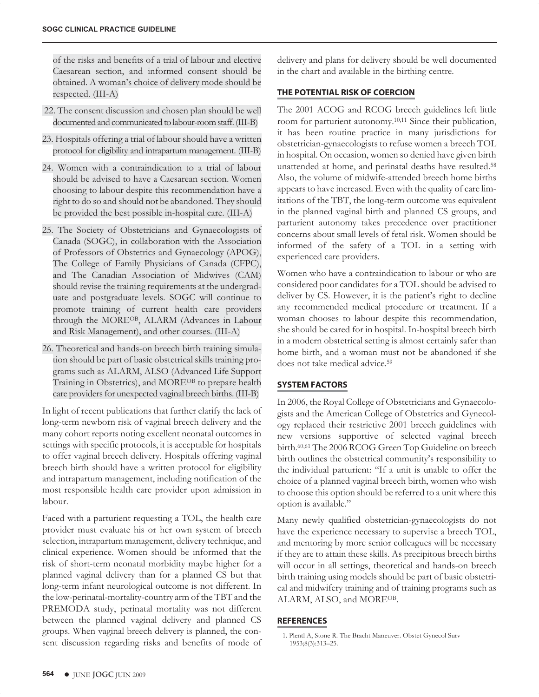of the risks and benefits of a trial of labour and elective Caesarean section, and informed consent should be obtained. A woman's choice of delivery mode should be respected. (III-A)

- 22. The consent discussion and chosen plan should be well documented and communicated to labour-room staff. (III-B)
- 23. Hospitals offering a trial of labour should have a written protocol for eligibility and intrapartum management. (III-B)
- 24. Women with a contraindication to a trial of labour should be advised to have a Caesarean section. Women choosing to labour despite this recommendation have a right to do so and should not be abandoned. They should be provided the best possible in-hospital care. (III-A)
- 25. The Society of Obstetricians and Gynaecologists of Canada (SOGC), in collaboration with the Association of Professors of Obstetrics and Gynaecology (APOG), The College of Family Physicians of Canada (CFPC), and The Canadian Association of Midwives (CAM) should revise the training requirements at the undergraduate and postgraduate levels. SOGC will continue to promote training of current health care providers through the MOREOB, ALARM (Advances in Labour and Risk Management), and other courses. (III-A)
- 26. Theoretical and hands-on breech birth training simulation should be part of basic obstetrical skills training programs such as ALARM, ALSO (Advanced Life Support Training in Obstetrics), and MOREOB to prepare health care providers for unexpected vaginal breech births. (III-B)

In light of recent publications that further clarify the lack of long-term newborn risk of vaginal breech delivery and the many cohort reports noting excellent neonatal outcomes in settings with specific protocols, it is acceptable for hospitals to offer vaginal breech delivery. Hospitals offering vaginal breech birth should have a written protocol for eligibility and intrapartum management, including notification of the most responsible health care provider upon admission in labour.

Faced with a parturient requesting a TOL, the health care provider must evaluate his or her own system of breech selection, intrapartum management, delivery technique, and clinical experience. Women should be informed that the risk of short-term neonatal morbidity maybe higher for a planned vaginal delivery than for a planned CS but that long-term infant neurological outcome is not different. In the low-perinatal-mortality-country arm of the TBT and the PREMODA study, perinatal mortality was not different between the planned vaginal delivery and planned CS groups. When vaginal breech delivery is planned, the consent discussion regarding risks and benefits of mode of

delivery and plans for delivery should be well documented in the chart and available in the birthing centre.

## **THE POTENTIAL RISK OF COERCION**

The 2001 ACOG and RCOG breech guidelines left little room for parturient autonomy.10,11 Since their publication, it has been routine practice in many jurisdictions for obstetrician-gynaecologists to refuse women a breech TOL in hospital. On occasion, women so denied have given birth unattended at home, and perinatal deaths have resulted.58 Also, the volume of midwife-attended breech home births appears to have increased. Even with the quality of care limitations of the TBT, the long-term outcome was equivalent in the planned vaginal birth and planned CS groups, and parturient autonomy takes precedence over practitioner concerns about small levels of fetal risk. Women should be informed of the safety of a TOL in a setting with experienced care providers.

Women who have a contraindication to labour or who are considered poor candidates for a TOL should be advised to deliver by CS. However, it is the patient's right to decline any recommended medical procedure or treatment. If a woman chooses to labour despite this recommendation, she should be cared for in hospital. In-hospital breech birth in a modern obstetrical setting is almost certainly safer than home birth, and a woman must not be abandoned if she does not take medical advice.59

## **SYSTEM FACTORS**

In 2006, the Royal College of Obstetricians and Gynaecologists and the American College of Obstetrics and Gynecology replaced their restrictive 2001 breech guidelines with new versions supportive of selected vaginal breech birth.60,61 The 2006 RCOG Green Top Guideline on breech birth outlines the obstetrical community's responsibility to the individual parturient: "If a unit is unable to offer the choice of a planned vaginal breech birth, women who wish to choose this option should be referred to a unit where this option is available."

Many newly qualified obstetrician-gynaecologists do not have the experience necessary to supervise a breech TOL, and mentoring by more senior colleagues will be necessary if they are to attain these skills. As precipitous breech births will occur in all settings, theoretical and hands-on breech birth training using models should be part of basic obstetrical and midwifery training and of training programs such as ALARM, ALSO, and MOREOB.

## **REFERENCES**

<sup>1.</sup> Plentl A, Stone R. The Bracht Maneuver. Obstet Gynecol Surv 1953;8(3):313–25.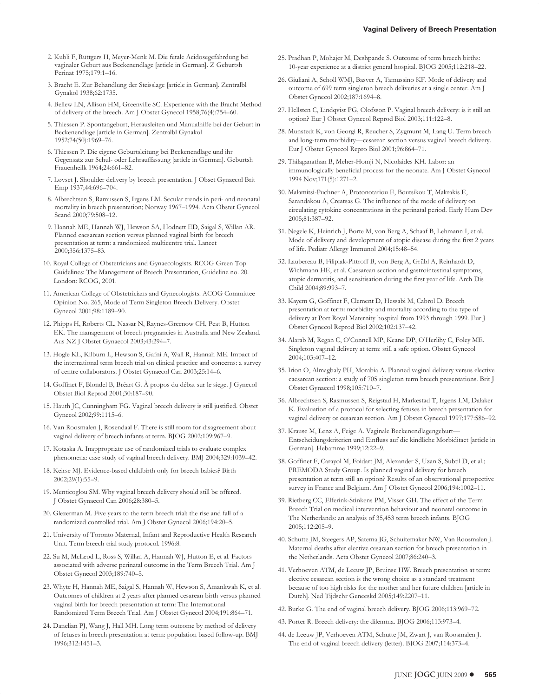- 2. Kubli F, Rüttgers H, Meyer-Menk M. Die fetale Acidosegefährdung bei vaginaler Geburt aus Beckenendlage [article in German]. Z Geburtsh Perinat 1975;179:1–16.
- 3. Bracht E. Zur Behandlung der Steisslage [article in German]. Zentralbl Gynakol 1938;62:1735.
- 4. Bellew LN, Allison HM, Greenville SC. Experience with the Bracht Method of delivery of the breech. Am J Obstet Gynecol 1958;76(4):754–60.
- 5. Thiessen P. Spontangeburt, Herausleiten und Manualhilfe bei der Geburt in Beckenendlage [article in German]. Zentralbl Gynakol 1952;74(50):1969–76.
- 6. Thiessen P. Die eigene Geburtsleitung bei Beckenendlage und ihr Gegensatz zur Schul- oder Lehrauffassung [article in German]. Geburtsh Frauenheilk 1964;24:661–82.
- 7. Løvset J. Shoulder delivery by breech presentation. J Obset Gynaecol Brit Emp 1937;44:696–704.
- 8. Albrechtsen S, Ramussen S, Irgens LM. Secular trends in peri- and neonatal mortality in breech presentation; Norway 1967–1994. Acta Obstet Gynecol Scand 2000;79:508–12.
- 9. Hannah ME, Hannah WJ, Hewson SA, Hodnett ED, Saigal S, Willan AR. Planned caesarean section versus planned vaginal birth for breech presentation at term: a randomized multicentre trial. Lancet 2000;356:1375–83.
- 10. Royal College of Obstetricians and Gynaecologists. RCOG Green Top Guidelines: The Management of Breech Presentation, Guideline no. 20. London: RCOG, 2001.
- 11. American College of Obstetricians and Gynecologists. ACOG Committee Opinion No. 265, Mode of Term Singleton Breech Delivery. Obstet Gynecol 2001;98:1189–90.
- 12. Phipps H, Roberts CL, Nassar N, Raynes-Greenow CH, Peat B, Hutton EK. The management of breech pregnancies in Australia and New Zealand. Aus NZ J Obstet Gynaecol 2003;43:294–7.
- 13. Hogle KL, Kilburn L, Hewson S, Gafni A, Wall R, Hannah ME. Impact of the international term breech trial on clinical practice and concerns: a survey of centre collaborators. J Obstet Gynaecol Can 2003;25:14–6.
- 14. Goffinet F, Blondel B, Bréart G. À propos du débat sur le siege. J Gynecol Obstet Biol Reprod 2001;30:187–90.
- 15. Hauth JC, Cunningham FG. Vaginal breech delivery is still justified. Obstet Gynecol 2002;99:1115–6.
- 16. Van Roosmalen J, Rosendaal F. There is still room for disagreement about vaginal delivery of breech infants at term. BJOG 2002;109:967–9.
- 17. Kotaska A. Inappropriate use of randomized trials to evaluate complex phenomena: case study of vaginal breech delivery. BMJ 2004;329:1039–42.
- 18. Keirse MJ. Evidence-based childbirth only for breech babies? Birth 2002;29(1):55–9.
- 19. Menticoglou SM. Why vaginal breech delivery should still be offered. J Obstet Gynaecol Can 2006;28:380–5.
- 20. Glezerman M. Five years to the term breech trial: the rise and fall of a randomized controlled trial. Am J Obstet Gynecol 2006;194:20–5.
- 21. University of Toronto Maternal, Infant and Reproductive Health Research Unit. Term breech trial study protocol. 1996:8.
- 22. Su M, McLeod L, Ross S, Willan A, Hannah WJ, Hutton E, et al. Factors associated with adverse perinatal outcome in the Term Breech Trial. Am J Obstet Gynecol 2003;189:740–5.
- 23. Whyte H, Hannah ME, Saigal S, Hannah W, Hewson S, Amankwah K, et al. Outcomes of children at 2 years after planned cesarean birth versus planned vaginal birth for breech presentation at term: The International Randomized Term Breech Trial. Am J Obstet Gynecol 2004;191:864–71.
- 24. Danelian PJ, Wang J, Hall MH. Long term outcome by method of delivery of fetuses in breech presentation at term: population based follow-up. BMJ 1996;312:1451–3.
- 25. Pradhan P, Mohajer M, Deshpande S. Outcome of term breech births: 10-year experience at a district general hospital. BJOG 2005;112:218–22.
- 26. Giuliani A, Scholl WMJ, Basver A, Tamussino KF. Mode of delivery and outcome of 699 term singleton breech deliveries at a single center. Am J Obstet Gynecol 2002;187:1694–8.
- 27. Hellsten C, Lindqvist PG, Olofsson P. Vaginal breech delivery: is it still an option? Eur J Obstet Gynecol Reprod Biol 2003;111:122–8.
- 28. Munstedt K, von Georgi R, Reucher S, Zygmunt M, Lang U. Term breech and long-term morbidity—cesarean section versus vaginal breech delivery. Eur J Obstet Gynecol Repro Biol 2001;96:864–71.
- 29. Thilaganathan B, Meher-Homji N, Nicolaides KH. Labor: an immunologically beneficial process for the neonate. Am J Obstet Gynecol 1994 Nov;171(5):1271–2.
- 30. Malamitsi-Puchner A, Protonotariou E, Boutsikou T, Makrakis E, Sarandakou A, Creatsas G. The influence of the mode of delivery on circulating cytokine concentrations in the perinatal period. Early Hum Dev 2005;81:387–92.
- 31. Negele K, Heinrich J, Borte M, von Berg A, Schaaf B, Lehmann I, et al. Mode of delivery and development of atopic disease during the first 2 years of life. Pediatr Allergy Immunol 2004;15:48–54.
- 32. Laubereau B, Filipiak-Pittroff B, von Berg A, Grübl A, Reinhardt D, Wichmann HE, et al. Caesarean section and gastrointestinal symptoms, atopic dermatitis, and sensitisation during the first year of life. Arch Dis Child 2004;89:993–7.
- 33. Kayem G, Goffinet F, Clement D, Hessabi M, Cabrol D. Breech presentation at term: morbidity and mortality according to the type of delivery at Port Royal Maternity hospital from 1993 through 1999. Eur J Obstet Gynecol Reprod Biol 2002;102:137–42.
- 34. Alarab M, Regan C, O'Connell MP, Keane DP, O'Herlihy C, Foley ME. Singleton vaginal delivery at term: still a safe option. Obstet Gynecol 2004;103:407–12.
- 35. Irion O, Almagbaly PH, Morabia A. Planned vaginal delivery versus elective caesarean section: a study of 705 singleton term breech presentations. Brit J Obstet Gynaecol 1998;105:710–7.
- 36. Albrechtsen S, Rasmussen S, Reigstad H, Markestad T, Irgens LM, Dalaker K. Evaluation of a protocol for selecting fetuses in breech presentation for vaginal delivery or cesarean section. Am J Obstet Gynecol 1997;177:586–92.
- 37. Krause M, Lenz A, Feige A. Vaginale Beckenendlagengeburt— Entscheidungskriterien und Einfluss auf die kindliche Morbiditaet [article in German]. Hebamme 1999;12:22–9.
- 38. Goffinet F, Carayol M, Foidart JM, Alexander S, Uzan S, Subtil D, et al.; PREMODA Study Group. Is planned vaginal delivery for breech presentation at term still an option? Results of an observational prospective survey in France and Belgium. Am J Obstet Gynecol 2006;194:1002–11.
- 39. Rietberg CC, Elferink-Stinkens PM, Visser GH. The effect of the Term Breech Trial on medical intervention behaviour and neonatal outcome in The Netherlands: an analysis of 35,453 term breech infants. BJOG 2005;112:205–9.
- 40. Schutte JM, Steegers AP, Satema JG, Schuitemaker NW, Van Roosmalen J. Maternal deaths after elective cesarean section for breech presentation in the Netherlands. Acta Obstet Gynecol 2007;86:240–3.
- 41. Verhoeven ATM, de Leeuw JP, Bruinse HW. Breech presentation at term: elective cesarean section is the wrong choice as a standard treatment because of too high risks for the mother and her future children [article in Dutch]. Ned Tijdschr Geneeskd 2005;149:2207–11.
- 42. Burke G. The end of vaginal breech delivery. BJOG 2006;113:969–72.
- 43. Porter R. Breech delivery: the dilemma. BJOG 2006;113:973–4.
- 44. de Leeuw JP, Verhoeven ATM, Schutte JM, Zwart J, van Roosmalen J. The end of vaginal breech delivery (letter). BJOG 2007;114:373–4.